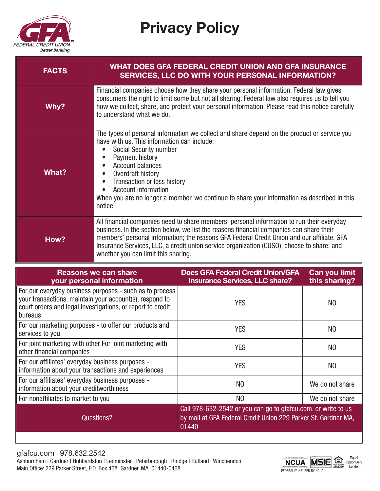

Privacy Policy

| <b>FACTS</b>                                                                                                                                                                                |                                                                                                                                                                                                                                                                                                                                                                                                                                          | <b>WHAT DOES GFA FEDERAL CREDIT UNION AND GFA INSURANCE</b><br>SERVICES, LLC DO WITH YOUR PERSONAL INFORMATION? |                                |
|---------------------------------------------------------------------------------------------------------------------------------------------------------------------------------------------|------------------------------------------------------------------------------------------------------------------------------------------------------------------------------------------------------------------------------------------------------------------------------------------------------------------------------------------------------------------------------------------------------------------------------------------|-----------------------------------------------------------------------------------------------------------------|--------------------------------|
| Why?                                                                                                                                                                                        | Financial companies choose how they share your personal information. Federal law gives<br>consumers the right to limit some but not all sharing. Federal law also requires us to tell you<br>how we collect, share, and protect your personal information. Please read this notice carefully<br>to understand what we do.                                                                                                                |                                                                                                                 |                                |
| What?                                                                                                                                                                                       | The types of personal information we collect and share depend on the product or service you<br>have with us. This information can include:<br>Social Security number<br>Payment history<br><b>Account balances</b><br>Overdraft history<br>$\bullet$<br>Transaction or loss history<br>$\bullet$<br><b>Account information</b><br>When you are no longer a member, we continue to share your information as described in this<br>notice. |                                                                                                                 |                                |
| How?                                                                                                                                                                                        | All financial companies need to share members' personal information to run their everyday<br>business. In the section below, we list the reasons financial companies can share their<br>members' personal information; the reasons GFA Federal Credit Union and our affiliate, GFA<br>Insurance Services, LLC, a credit union service organization (CUSO), choose to share; and<br>whether you can limit this sharing.                   |                                                                                                                 |                                |
| <b>Reasons we can share</b><br>your personal information                                                                                                                                    |                                                                                                                                                                                                                                                                                                                                                                                                                                          | <b>Does GFA Federal Credit Union/GFA</b><br><b>Insurance Services, LLC share?</b>                               | Can you limit<br>this sharing? |
| For our everyday business purposes - such as to process<br>your transactions, maintain your account(s), respond to<br>court orders and legal investigations, or report to credit<br>bureaus |                                                                                                                                                                                                                                                                                                                                                                                                                                          | <b>YES</b>                                                                                                      | N <sub>0</sub>                 |
| For our marketing purposes - to offer our products and<br>services to you                                                                                                                   |                                                                                                                                                                                                                                                                                                                                                                                                                                          | <b>YES</b>                                                                                                      | N <sub>0</sub>                 |
| For joint marketing with other For joint marketing with<br>other financial companies                                                                                                        |                                                                                                                                                                                                                                                                                                                                                                                                                                          | <b>YES</b>                                                                                                      | N <sub>0</sub>                 |

gfafcu.com | 978.632.2542 For our affiliates' everyday business purposes - For our arimates everyday business purposes -<br>information about your creditworthiness NO NO NO We do not share For nonaffiliates to market to you source that the set of the NO NO We do not share Questions? Call 978-632-2542 or you can go to gfafcu.com, or write to us by mail at GFA Federal Credit Union 229 Parker St. Gardner MA, 01440.

For our arimates everyday business purposes -<br>information about your transactions and experiences YES YES NO

For our affiliates' everyday business purposes -